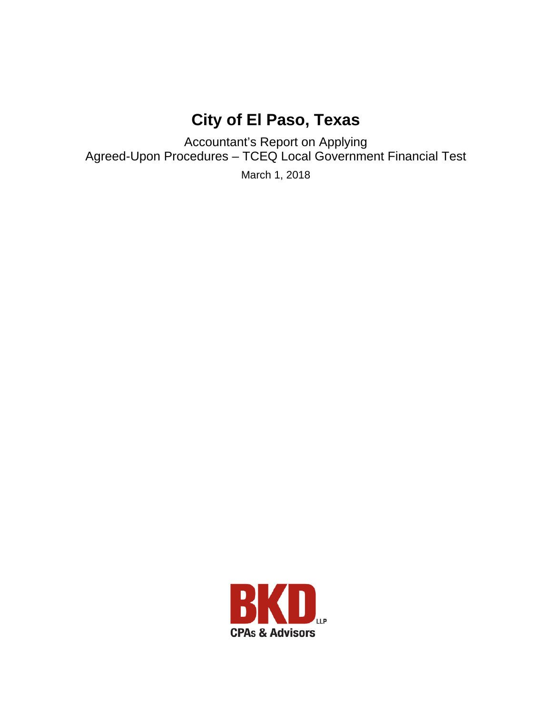# **City of El Paso, Texas**

Accountant's Report on Applying Agreed-Upon Procedures – TCEQ Local Government Financial Test

March 1, 2018

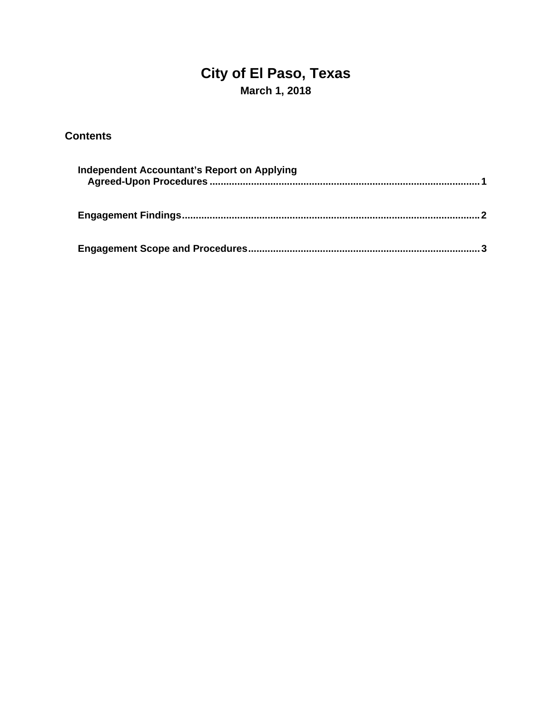## **City of El Paso, Texas March 1, 2018**

### **Contents**

| Independent Accountant's Report on Applying |  |  |
|---------------------------------------------|--|--|
|                                             |  |  |
|                                             |  |  |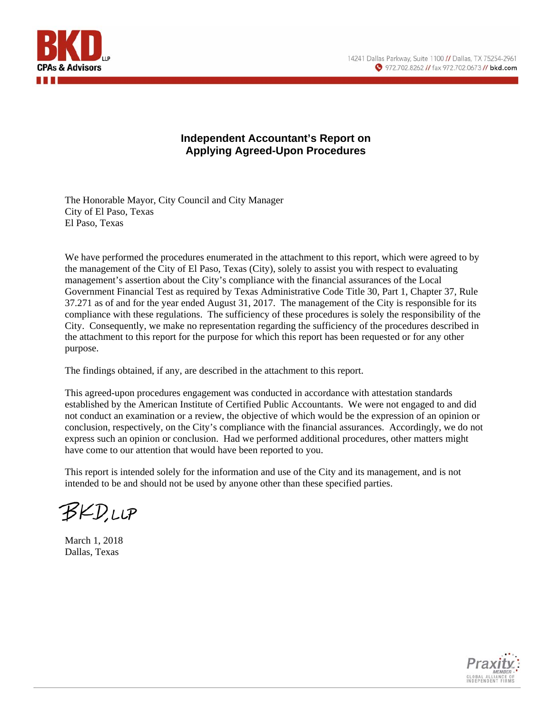

#### **Independent Accountant's Report on Applying Agreed-Upon Procedures**

The Honorable Mayor, City Council and City Manager City of El Paso, Texas El Paso, Texas

We have performed the procedures enumerated in the attachment to this report, which were agreed to by the management of the City of El Paso, Texas (City), solely to assist you with respect to evaluating management's assertion about the City's compliance with the financial assurances of the Local Government Financial Test as required by Texas Administrative Code Title 30, Part 1, Chapter 37, Rule 37.271 as of and for the year ended August 31, 2017. The management of the City is responsible for its compliance with these regulations. The sufficiency of these procedures is solely the responsibility of the City. Consequently, we make no representation regarding the sufficiency of the procedures described in the attachment to this report for the purpose for which this report has been requested or for any other purpose.

The findings obtained, if any, are described in the attachment to this report.

This agreed-upon procedures engagement was conducted in accordance with attestation standards established by the American Institute of Certified Public Accountants. We were not engaged to and did not conduct an examination or a review, the objective of which would be the expression of an opinion or conclusion, respectively, on the City's compliance with the financial assurances. Accordingly, we do not express such an opinion or conclusion. Had we performed additional procedures, other matters might have come to our attention that would have been reported to you.

This report is intended solely for the information and use of the City and its management, and is not intended to be and should not be used by anyone other than these specified parties.

BKD.LLP

March 1, 2018 Dallas, Texas

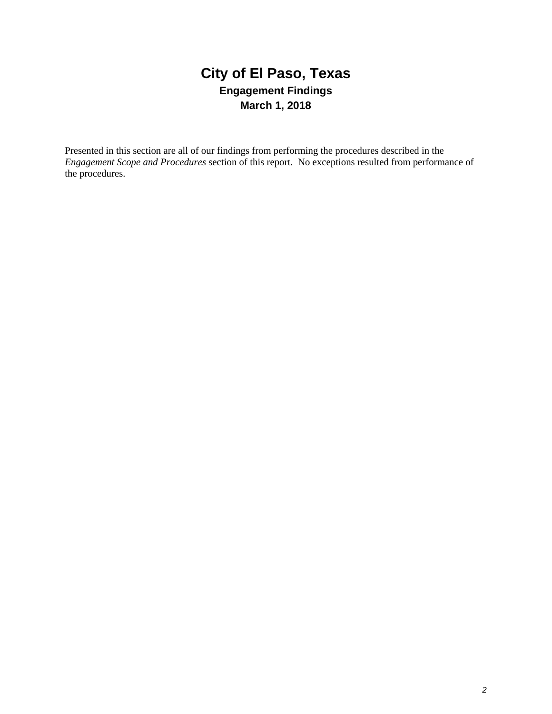### **City of El Paso, Texas Engagement Findings March 1, 2018**

Presented in this section are all of our findings from performing the procedures described in the *Engagement Scope and Procedures* section of this report. No exceptions resulted from performance of the procedures.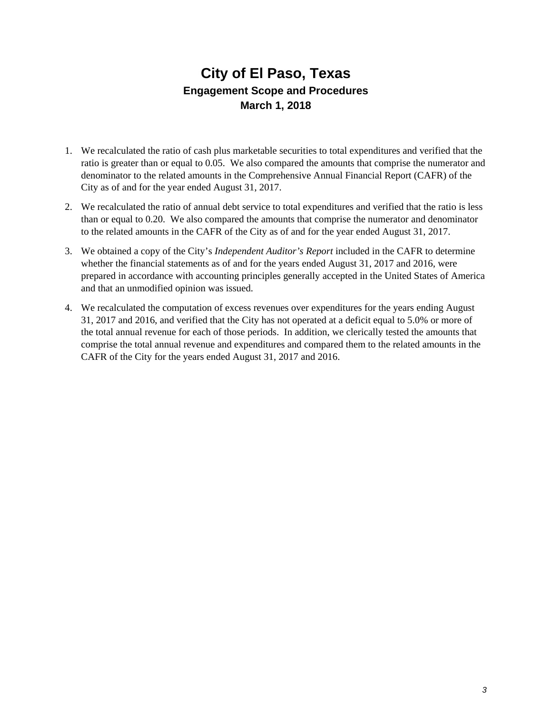### **City of El Paso, Texas Engagement Scope and Procedures March 1, 2018**

- 1. We recalculated the ratio of cash plus marketable securities to total expenditures and verified that the ratio is greater than or equal to 0.05. We also compared the amounts that comprise the numerator and denominator to the related amounts in the Comprehensive Annual Financial Report (CAFR) of the City as of and for the year ended August 31, 2017.
- 2. We recalculated the ratio of annual debt service to total expenditures and verified that the ratio is less than or equal to 0.20. We also compared the amounts that comprise the numerator and denominator to the related amounts in the CAFR of the City as of and for the year ended August 31, 2017.
- 3. We obtained a copy of the City's *Independent Auditor's Report* included in the CAFR to determine whether the financial statements as of and for the years ended August 31, 2017 and 2016, were prepared in accordance with accounting principles generally accepted in the United States of America and that an unmodified opinion was issued.
- 4. We recalculated the computation of excess revenues over expenditures for the years ending August 31, 2017 and 2016, and verified that the City has not operated at a deficit equal to 5.0% or more of the total annual revenue for each of those periods. In addition, we clerically tested the amounts that comprise the total annual revenue and expenditures and compared them to the related amounts in the CAFR of the City for the years ended August 31, 2017 and 2016.